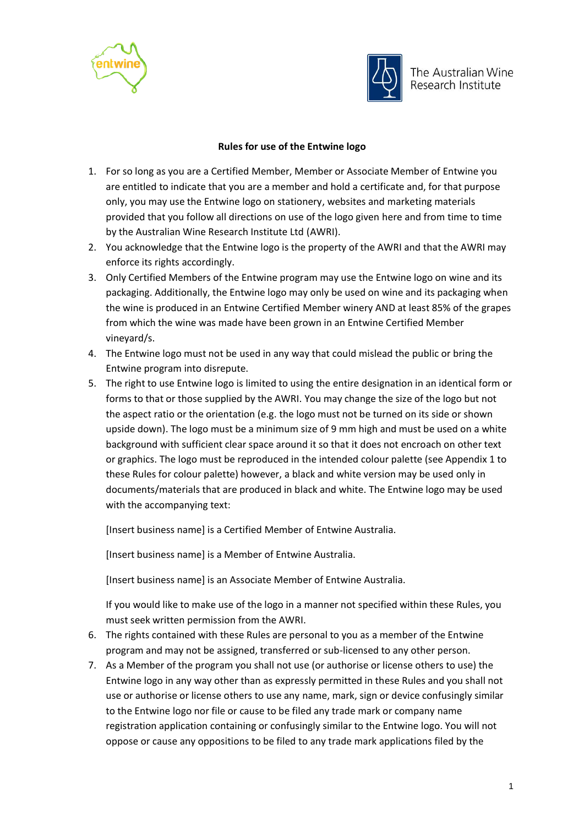



## **Rules for use of the Entwine logo**

- 1. For so long as you are a Certified Member, Member or Associate Member of Entwine you are entitled to indicate that you are a member and hold a certificate and, for that purpose only, you may use the Entwine logo on stationery, websites and marketing materials provided that you follow all directions on use of the logo given here and from time to time by the Australian Wine Research Institute Ltd (AWRI).
- 2. You acknowledge that the Entwine logo is the property of the AWRI and that the AWRI may enforce its rights accordingly.
- 3. Only Certified Members of the Entwine program may use the Entwine logo on wine and its packaging. Additionally, the Entwine logo may only be used on wine and its packaging when the wine is produced in an Entwine Certified Member winery AND at least 85% of the grapes from which the wine was made have been grown in an Entwine Certified Member vineyard/s.
- 4. The Entwine logo must not be used in any way that could mislead the public or bring the Entwine program into disrepute.
- 5. The right to use Entwine logo is limited to using the entire designation in an identical form or forms to that or those supplied by the AWRI. You may change the size of the logo but not the aspect ratio or the orientation (e.g. the logo must not be turned on its side or shown upside down). The logo must be a minimum size of 9 mm high and must be used on a white background with sufficient clear space around it so that it does not encroach on other text or graphics. The logo must be reproduced in the intended colour palette (see Appendix 1 to these Rules for colour palette) however, a black and white version may be used only in documents/materials that are produced in black and white. The Entwine logo may be used with the accompanying text:

[Insert business name] is a Certified Member of Entwine Australia.

[Insert business name] is a Member of Entwine Australia.

[Insert business name] is an Associate Member of Entwine Australia.

If you would like to make use of the logo in a manner not specified within these Rules, you must seek written permission from the AWRI.

- 6. The rights contained with these Rules are personal to you as a member of the Entwine program and may not be assigned, transferred or sub-licensed to any other person.
- 7. As a Member of the program you shall not use (or authorise or license others to use) the Entwine logo in any way other than as expressly permitted in these Rules and you shall not use or authorise or license others to use any name, mark, sign or device confusingly similar to the Entwine logo nor file or cause to be filed any trade mark or company name registration application containing or confusingly similar to the Entwine logo. You will not oppose or cause any oppositions to be filed to any trade mark applications filed by the